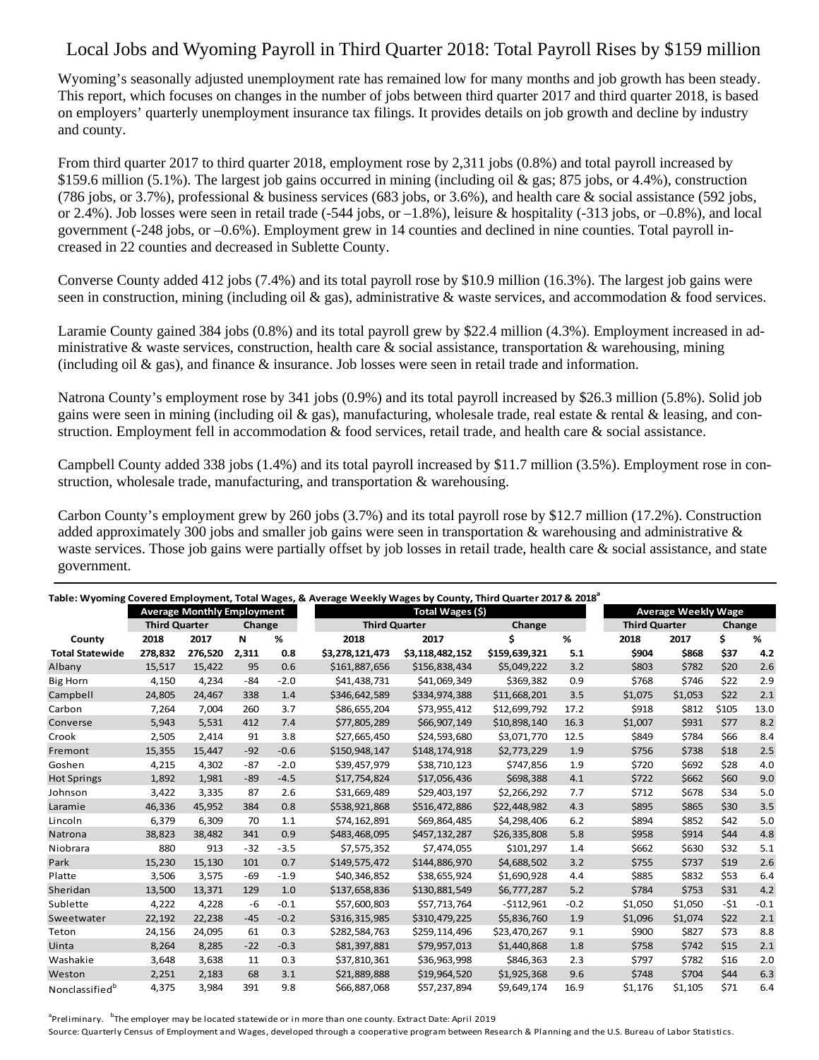## Local Jobs and Wyoming Payroll in Third Quarter 2018: Total Payroll Rises by \$159 million

Wyoming's seasonally adjusted unemployment rate has remained low for many months and job growth has been steady. This report, which focuses on changes in the number of jobs between third quarter 2017 and third quarter 2018, is based on employers' quarterly unemployment insurance tax filings. It provides details on job growth and decline by industry and county.

From third quarter 2017 to third quarter 2018, employment rose by 2,311 jobs (0.8%) and total payroll increased by \$159.6 million (5.1%). The largest job gains occurred in mining (including oil & gas; 875 jobs, or 4.4%), construction (786 jobs, or 3.7%), professional & business services (683 jobs, or 3.6%), and health care & social assistance (592 jobs, or 2.4%). Job losses were seen in retail trade (-544 jobs, or –1.8%), leisure & hospitality (-313 jobs, or –0.8%), and local government (-248 jobs, or –0.6%). Employment grew in 14 counties and declined in nine counties. Total payroll increased in 22 counties and decreased in Sublette County.

Converse County added 412 jobs (7.4%) and its total payroll rose by \$10.9 million (16.3%). The largest job gains were seen in construction, mining (including oil & gas), administrative & waste services, and accommodation & food services.

Laramie County gained 384 jobs (0.8%) and its total payroll grew by \$22.4 million (4.3%). Employment increased in administrative & waste services, construction, health care & social assistance, transportation & warehousing, mining (including oil  $\&$  gas), and finance  $\&$  insurance. Job losses were seen in retail trade and information.

Natrona County's employment rose by 341 jobs (0.9%) and its total payroll increased by \$26.3 million (5.8%). Solid job gains were seen in mining (including oil  $\&$  gas), manufacturing, wholesale trade, real estate  $\&$  rental  $\&$  leasing, and construction. Employment fell in accommodation & food services, retail trade, and health care & social assistance.

Campbell County added 338 jobs (1.4%) and its total payroll increased by \$11.7 million (3.5%). Employment rose in construction, wholesale trade, manufacturing, and transportation & warehousing.

Carbon County's employment grew by 260 jobs (3.7%) and its total payroll rose by \$12.7 million (17.2%). Construction added approximately 300 jobs and smaller job gains were seen in transportation & warehousing and administrative  $\&$ waste services. Those job gains were partially offset by job losses in retail trade, health care & social assistance, and state government.

| Table: Wyoming Covered Employment, Total Wages, & Average Weekly Wages by County, Third Quarter 2017 & 2018 <sup>ª</sup> |         |         |       |                      |                  |                 |               |                      |                            |         |       |        |
|--------------------------------------------------------------------------------------------------------------------------|---------|---------|-------|----------------------|------------------|-----------------|---------------|----------------------|----------------------------|---------|-------|--------|
| <b>Average Monthly Employment</b>                                                                                        |         |         |       |                      | Total Wages (\$) |                 |               |                      | <b>Average Weekly Wage</b> |         |       |        |
| <b>Third Quarter</b>                                                                                                     |         | Change  |       | <b>Third Quarter</b> |                  | Change          |               | <b>Third Quarter</b> |                            | Change  |       |        |
| County                                                                                                                   | 2018    | 2017    | N     | %                    | 2018             | 2017            | Ś             | %                    | 2018                       | 2017    | Ś.    | %      |
| <b>Total Statewide</b>                                                                                                   | 278.832 | 276,520 | 2,311 | 0.8                  | \$3,278,121,473  | \$3,118,482,152 | \$159,639,321 | 5.1                  | \$904                      | \$868   | \$37  | 4.2    |
| Albany                                                                                                                   | 15,517  | 15,422  | 95    | 0.6                  | \$161,887,656    | \$156,838,434   | \$5,049,222   | 3.2                  | \$803                      | \$782   | \$20  | 2.6    |
| <b>Big Horn</b>                                                                                                          | 4,150   | 4,234   | $-84$ | $-2.0$               | \$41,438,731     | \$41,069,349    | \$369,382     | 0.9                  | \$768                      | \$746   | \$22  | 2.9    |
| Campbell                                                                                                                 | 24,805  | 24,467  | 338   | 1.4                  | \$346,642,589    | \$334,974,388   | \$11,668,201  | 3.5                  | \$1,075                    | \$1,053 | \$22  | 2.1    |
| Carbon                                                                                                                   | 7,264   | 7,004   | 260   | 3.7                  | \$86,655,204     | \$73,955,412    | \$12,699,792  | 17.2                 | \$918                      | \$812   | \$105 | 13.0   |
| Converse                                                                                                                 | 5,943   | 5,531   | 412   | 7.4                  | \$77,805,289     | \$66,907,149    | \$10,898,140  | 16.3                 | \$1,007                    | \$931   | \$77  | 8.2    |
| Crook                                                                                                                    | 2,505   | 2,414   | 91    | 3.8                  | \$27,665,450     | \$24,593,680    | \$3,071,770   | 12.5                 | \$849                      | \$784   | \$66  | 8.4    |
| Fremont                                                                                                                  | 15,355  | 15,447  | $-92$ | $-0.6$               | \$150,948,147    | \$148,174,918   | \$2,773,229   | 1.9                  | \$756                      | \$738   | \$18  | 2.5    |
| Goshen                                                                                                                   | 4,215   | 4,302   | $-87$ | $-2.0$               | \$39,457,979     | \$38,710,123    | \$747,856     | 1.9                  | \$720                      | \$692   | \$28  | 4.0    |
| <b>Hot Springs</b>                                                                                                       | 1,892   | 1,981   | $-89$ | $-4.5$               | \$17,754,824     | \$17,056,436    | \$698,388     | 4.1                  | \$722                      | \$662   | \$60  | 9.0    |
| Johnson                                                                                                                  | 3,422   | 3,335   | 87    | 2.6                  | \$31,669,489     | \$29,403,197    | \$2,266,292   | 7.7                  | \$712                      | \$678   | \$34  | 5.0    |
| Laramie                                                                                                                  | 46,336  | 45,952  | 384   | 0.8                  | \$538,921,868    | \$516,472,886   | \$22,448,982  | 4.3                  | \$895                      | \$865   | \$30  | 3.5    |
| Lincoln                                                                                                                  | 6,379   | 6,309   | 70    | 1.1                  | \$74,162,891     | \$69,864,485    | \$4,298,406   | 6.2                  | \$894                      | \$852   | \$42  | 5.0    |
| Natrona                                                                                                                  | 38.823  | 38.482  | 341   | 0.9                  | \$483,468,095    | \$457,132,287   | \$26,335,808  | 5.8                  | \$958                      | \$914   | \$44  | 4.8    |
| Niobrara                                                                                                                 | 880     | 913     | $-32$ | $-3.5$               | \$7,575,352      | \$7,474,055     | \$101,297     | 1.4                  | \$662                      | \$630   | \$32  | 5.1    |
| Park                                                                                                                     | 15.230  | 15,130  | 101   | 0.7                  | \$149,575,472    | \$144,886,970   | \$4,688,502   | 3.2                  | \$755                      | \$737   | \$19  | 2.6    |
| Platte                                                                                                                   | 3,506   | 3,575   | $-69$ | $-1.9$               | \$40,346,852     | \$38,655,924    | \$1,690,928   | 4.4                  | \$885                      | \$832   | \$53  | 6.4    |
| Sheridan                                                                                                                 | 13.500  | 13,371  | 129   | 1.0                  | \$137,658,836    | \$130,881,549   | \$6,777,287   | 5.2                  | \$784                      | \$753   | \$31  | 4.2    |
| Sublette                                                                                                                 | 4,222   | 4,228   | -6    | $-0.1$               | \$57,600,803     | \$57,713,764    | $-5112,961$   | $-0.2$               | \$1,050                    | \$1,050 | $-51$ | $-0.1$ |
| Sweetwater                                                                                                               | 22,192  | 22,238  | $-45$ | $-0.2$               | \$316,315,985    | \$310,479,225   | \$5,836,760   | 1.9                  | \$1,096                    | \$1,074 | \$22  | 2.1    |
| Teton                                                                                                                    | 24,156  | 24,095  | 61    | 0.3                  | \$282,584,763    | \$259,114,496   | \$23,470,267  | 9.1                  | \$900                      | \$827   | \$73  | 8.8    |
| Uinta                                                                                                                    | 8,264   | 8,285   | $-22$ | $-0.3$               | \$81,397,881     | \$79,957,013    | \$1,440,868   | 1.8                  | \$758                      | \$742   | \$15  | 2.1    |
| Washakie                                                                                                                 | 3,648   | 3,638   | 11    | 0.3                  | \$37,810,361     | \$36,963,998    | \$846,363     | 2.3                  | \$797                      | \$782   | \$16  | 2.0    |
| Weston                                                                                                                   | 2,251   | 2,183   | 68    | 3.1                  | \$21,889,888     | \$19,964,520    | \$1,925,368   | 9.6                  | \$748                      | \$704   | \$44  | 6.3    |
| Nonclassified <sup>b</sup>                                                                                               | 4,375   | 3,984   | 391   | 9.8                  | \$66,887,068     | \$57,237,894    | \$9,649,174   | 16.9                 | \$1,176                    | \$1,105 | \$71  | 6.4    |

<sup>a</sup>Preliminary. <sup>b</sup>The employer may be located statewide or in more than one county. Extract Date: April 2019 Source: Quarterly Census of Employment and Wages, developed through a cooperative program between Research & Planning and the U.S. Bureau of Labor Statistics.